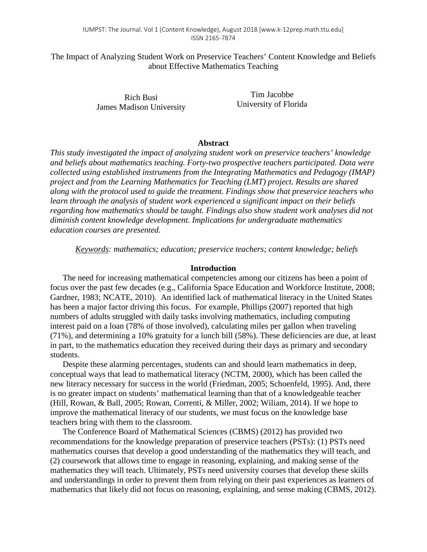The Impact of Analyzing Student Work on Preservice Teachers' Content Knowledge and Beliefs about Effective Mathematics Teaching

> Rich Busi James Madison University

Tim Jacobbe University of Florida

#### **Abstract**

*This study investigated the impact of analyzing student work on preservice teachers' knowledge and beliefs about mathematics teaching. Forty-two prospective teachers participated. Data were collected using established instruments from the Integrating Mathematics and Pedagogy (IMAP) project and from the Learning Mathematics for Teaching (LMT) project. Results are shared along with the protocol used to guide the treatment. Findings show that preservice teachers who learn through the analysis of student work experienced a significant impact on their beliefs regarding how mathematics should be taught. Findings also show student work analyses did not diminish content knowledge development. Implications for undergraduate mathematics education courses are presented.*

*Keywords: mathematics; education; preservice teachers; content knowledge; beliefs*

#### **Introduction**

The need for increasing mathematical competencies among our citizens has been a point of focus over the past few decades (e.g., California Space Education and Workforce Institute, 2008; Gardner, 1983; NCATE, 2010). An identified lack of mathematical literacy in the United States has been a major factor driving this focus. For example, Phillips (2007) reported that high numbers of adults struggled with daily tasks involving mathematics, including computing interest paid on a loan (78% of those involved), calculating miles per gallon when traveling (71%), and determining a 10% gratuity for a lunch bill (58%). These deficiencies are due, at least in part, to the mathematics education they received during their days as primary and secondary students.

Despite these alarming percentages, students can and should learn mathematics in deep, conceptual ways that lead to mathematical literacy (NCTM, 2000), which has been called the new literacy necessary for success in the world (Friedman, 2005; Schoenfeld, 1995). And, there is no greater impact on students' mathematical learning than that of a knowledgeable teacher (Hill, Rowan, & Ball, 2005; Rowan, Correnti, & Miller, 2002; Wiliam, 2014). If we hope to improve the mathematical literacy of our students, we must focus on the knowledge base teachers bring with them to the classroom.

The Conference Board of Mathematical Sciences (CBMS) (2012) has provided two recommendations for the knowledge preparation of preservice teachers (PSTs): (1) PSTs need mathematics courses that develop a good understanding of the mathematics they will teach, and (2) coursework that allows time to engage in reasoning, explaining, and making sense of the mathematics they will teach. Ultimately, PSTs need university courses that develop these skills and understandings in order to prevent them from relying on their past experiences as learners of mathematics that likely did not focus on reasoning, explaining, and sense making (CBMS, 2012).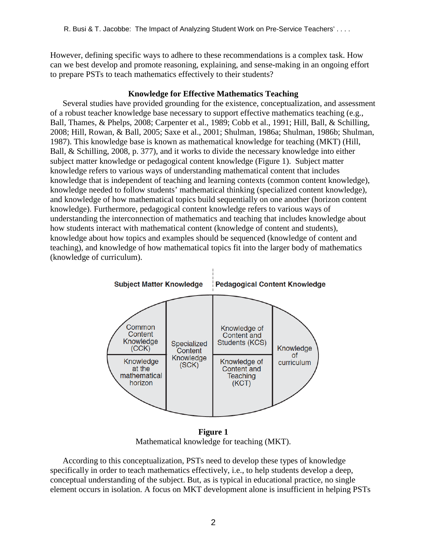However, defining specific ways to adhere to these recommendations is a complex task. How can we best develop and promote reasoning, explaining, and sense-making in an ongoing effort to prepare PSTs to teach mathematics effectively to their students?

## **Knowledge for Effective Mathematics Teaching**

Several studies have provided grounding for the existence, conceptualization, and assessment of a robust teacher knowledge base necessary to support effective mathematics teaching (e.g., Ball, Thames, & Phelps, 2008; Carpenter et al., 1989; Cobb et al., 1991; Hill, Ball, & Schilling, 2008; Hill, Rowan, & Ball, 2005; Saxe et al., 2001; Shulman, 1986a; Shulman, 1986b; Shulman, 1987). This knowledge base is known as mathematical knowledge for teaching (MKT) (Hill, Ball, & Schilling, 2008, p. 377), and it works to divide the necessary knowledge into either subject matter knowledge or pedagogical content knowledge (Figure 1). Subject matter knowledge refers to various ways of understanding mathematical content that includes knowledge that is independent of teaching and learning contexts (common content knowledge), knowledge needed to follow students' mathematical thinking (specialized content knowledge), and knowledge of how mathematical topics build sequentially on one another (horizon content knowledge). Furthermore, pedagogical content knowledge refers to various ways of understanding the interconnection of mathematics and teaching that includes knowledge about how students interact with mathematical content (knowledge of content and students), knowledge about how topics and examples should be sequenced (knowledge of content and teaching), and knowledge of how mathematical topics fit into the larger body of mathematics (knowledge of curriculum).



**Figure 1** Mathematical knowledge for teaching (MKT).

According to this conceptualization, PSTs need to develop these types of knowledge specifically in order to teach mathematics effectively, i.e., to help students develop a deep, conceptual understanding of the subject. But, as is typical in educational practice, no single element occurs in isolation. A focus on MKT development alone is insufficient in helping PSTs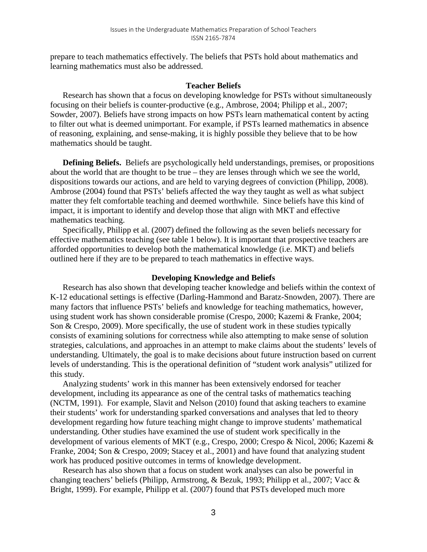prepare to teach mathematics effectively. The beliefs that PSTs hold about mathematics and learning mathematics must also be addressed.

#### **Teacher Beliefs**

Research has shown that a focus on developing knowledge for PSTs without simultaneously focusing on their beliefs is counter-productive (e.g., Ambrose, 2004; Philipp et al., 2007; Sowder, 2007). Beliefs have strong impacts on how PSTs learn mathematical content by acting to filter out what is deemed unimportant. For example, if PSTs learned mathematics in absence of reasoning, explaining, and sense-making, it is highly possible they believe that to be how mathematics should be taught.

**Defining Beliefs.** Beliefs are psychologically held understandings, premises, or propositions about the world that are thought to be true – they are lenses through which we see the world, dispositions towards our actions, and are held to varying degrees of conviction (Philipp, 2008). Ambrose (2004) found that PSTs' beliefs affected the way they taught as well as what subject matter they felt comfortable teaching and deemed worthwhile. Since beliefs have this kind of impact, it is important to identify and develop those that align with MKT and effective mathematics teaching.

Specifically, Philipp et al. (2007) defined the following as the seven beliefs necessary for effective mathematics teaching (see table 1 below). It is important that prospective teachers are afforded opportunities to develop both the mathematical knowledge (i.e. MKT) and beliefs outlined here if they are to be prepared to teach mathematics in effective ways.

#### **Developing Knowledge and Beliefs**

Research has also shown that developing teacher knowledge and beliefs within the context of K-12 educational settings is effective (Darling-Hammond and Baratz-Snowden, 2007). There are many factors that influence PSTs' beliefs and knowledge for teaching mathematics, however, using student work has shown considerable promise (Crespo, 2000; Kazemi & Franke, 2004; Son & Crespo, 2009). More specifically, the use of student work in these studies typically consists of examining solutions for correctness while also attempting to make sense of solution strategies, calculations, and approaches in an attempt to make claims about the students' levels of understanding. Ultimately, the goal is to make decisions about future instruction based on current levels of understanding. This is the operational definition of "student work analysis" utilized for this study.

Analyzing students' work in this manner has been extensively endorsed for teacher development, including its appearance as one of the central tasks of mathematics teaching (NCTM, 1991). For example, Slavit and Nelson (2010) found that asking teachers to examine their students' work for understanding sparked conversations and analyses that led to theory development regarding how future teaching might change to improve students' mathematical understanding. Other studies have examined the use of student work specifically in the development of various elements of MKT (e.g., Crespo, 2000; Crespo & Nicol, 2006; Kazemi & Franke, 2004; Son & Crespo, 2009; Stacey et al., 2001) and have found that analyzing student work has produced positive outcomes in terms of knowledge development.

Research has also shown that a focus on student work analyses can also be powerful in changing teachers' beliefs (Philipp, Armstrong, & Bezuk, 1993; Philipp et al., 2007; Vacc & Bright, 1999). For example, Philipp et al. (2007) found that PSTs developed much more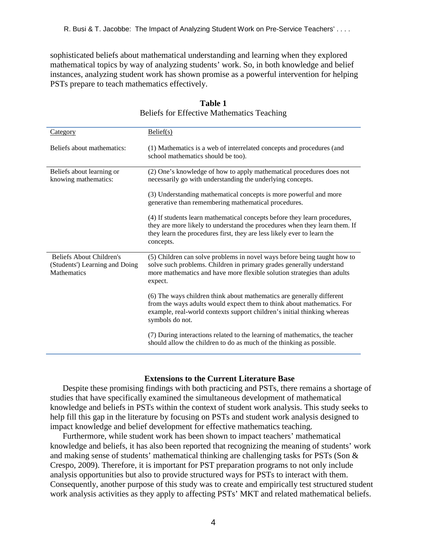sophisticated beliefs about mathematical understanding and learning when they explored mathematical topics by way of analyzing students' work. So, in both knowledge and belief instances, analyzing student work has shown promise as a powerful intervention for helping PSTs prepare to teach mathematics effectively.

| <u>Category</u>                                                                  | Belief(s)                                                                                                                                                                                                                                       |
|----------------------------------------------------------------------------------|-------------------------------------------------------------------------------------------------------------------------------------------------------------------------------------------------------------------------------------------------|
| Beliefs about mathematics:                                                       | (1) Mathematics is a web of interrelated concepts and procedures (and<br>school mathematics should be too).                                                                                                                                     |
| Beliefs about learning or<br>knowing mathematics:                                | (2) One's knowledge of how to apply mathematical procedures does not<br>necessarily go with understanding the underlying concepts.                                                                                                              |
|                                                                                  | (3) Understanding mathematical concepts is more powerful and more<br>generative than remembering mathematical procedures.                                                                                                                       |
|                                                                                  | (4) If students learn mathematical concepts before they learn procedures,<br>they are more likely to understand the procedures when they learn them. If<br>they learn the procedures first, they are less likely ever to learn the<br>concepts. |
| <b>Beliefs About Children's</b><br>(Students') Learning and Doing<br>Mathematics | (5) Children can solve problems in novel ways before being taught how to<br>solve such problems. Children in primary grades generally understand<br>more mathematics and have more flexible solution strategies than adults<br>expect.          |
|                                                                                  | (6) The ways children think about mathematics are generally different<br>from the ways adults would expect them to think about mathematics. For<br>example, real-world contexts support children's initial thinking whereas<br>symbols do not.  |
|                                                                                  | (7) During interactions related to the learning of mathematics, the teacher<br>should allow the children to do as much of the thinking as possible.                                                                                             |

#### **Table 1** Beliefs for Effective Mathematics Teaching

#### **Extensions to the Current Literature Base**

Despite these promising findings with both practicing and PSTs, there remains a shortage of studies that have specifically examined the simultaneous development of mathematical knowledge and beliefs in PSTs within the context of student work analysis. This study seeks to help fill this gap in the literature by focusing on PSTs and student work analysis designed to impact knowledge and belief development for effective mathematics teaching.

Furthermore, while student work has been shown to impact teachers' mathematical knowledge and beliefs, it has also been reported that recognizing the meaning of students' work and making sense of students' mathematical thinking are challenging tasks for PSTs (Son  $\&$ Crespo, 2009). Therefore, it is important for PST preparation programs to not only include analysis opportunities but also to provide structured ways for PSTs to interact with them. Consequently, another purpose of this study was to create and empirically test structured student work analysis activities as they apply to affecting PSTs' MKT and related mathematical beliefs.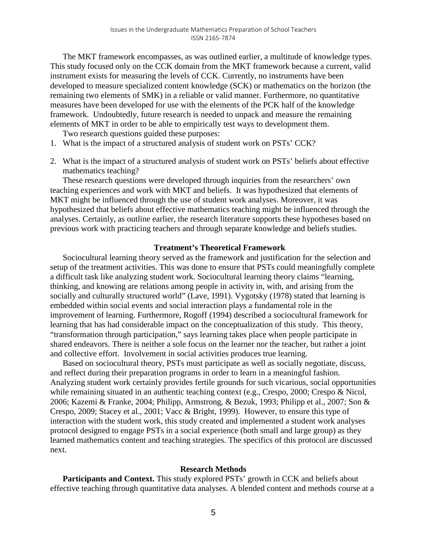The MKT framework encompasses, as was outlined earlier, a multitude of knowledge types. This study focused only on the CCK domain from the MKT framework because a current, valid instrument exists for measuring the levels of CCK. Currently, no instruments have been developed to measure specialized content knowledge (SCK) or mathematics on the horizon (the remaining two elements of SMK) in a reliable or valid manner. Furthermore, no quantitative measures have been developed for use with the elements of the PCK half of the knowledge framework. Undoubtedly, future research is needed to unpack and measure the remaining elements of MKT in order to be able to empirically test ways to development them.

Two research questions guided these purposes:

- 1. What is the impact of a structured analysis of student work on PSTs' CCK?
- 2. What is the impact of a structured analysis of student work on PSTs' beliefs about effective mathematics teaching?

These research questions were developed through inquiries from the researchers' own teaching experiences and work with MKT and beliefs. It was hypothesized that elements of MKT might be influenced through the use of student work analyses. Moreover, it was hypothesized that beliefs about effective mathematics teaching might be influenced through the analyses. Certainly, as outline earlier, the research literature supports these hypotheses based on previous work with practicing teachers and through separate knowledge and beliefs studies.

#### **Treatment's Theoretical Framework**

Sociocultural learning theory served as the framework and justification for the selection and setup of the treatment activities. This was done to ensure that PSTs could meaningfully complete a difficult task like analyzing student work. Sociocultural learning theory claims "learning, thinking, and knowing are relations among people in activity in, with, and arising from the socially and culturally structured world" (Lave, 1991). Vygotsky (1978) stated that learning is embedded within social events and social interaction plays a fundamental role in the improvement of learning. Furthermore, Rogoff (1994) described a sociocultural framework for learning that has had considerable impact on the conceptualization of this study. This theory, "transformation through participation," says learning takes place when people participate in shared endeavors. There is neither a sole focus on the learner nor the teacher, but rather a joint and collective effort. Involvement in social activities produces true learning.

Based on sociocultural theory, PSTs must participate as well as socially negotiate, discuss, and reflect during their preparation programs in order to learn in a meaningful fashion. Analyzing student work certainly provides fertile grounds for such vicarious, social opportunities while remaining situated in an authentic teaching context (e.g., Crespo, 2000; Crespo & Nicol, 2006; Kazemi & Franke, 2004; Philipp, Armstrong, & Bezuk, 1993; Philipp et al., 2007; Son & Crespo, 2009; Stacey et al., 2001; Vacc & Bright, 1999). However, to ensure this type of interaction with the student work, this study created and implemented a student work analyses protocol designed to engage PSTs in a social experience (both small and large group) as they learned mathematics content and teaching strategies. The specifics of this protocol are discussed next.

#### **Research Methods**

Participants and Context. This study explored PSTs' growth in CCK and beliefs about effective teaching through quantitative data analyses. A blended content and methods course at a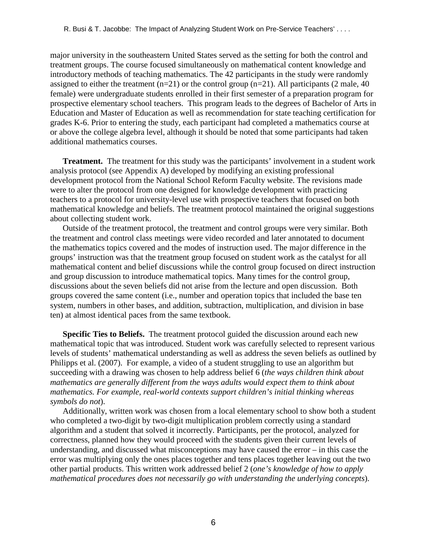major university in the southeastern United States served as the setting for both the control and treatment groups. The course focused simultaneously on mathematical content knowledge and introductory methods of teaching mathematics. The 42 participants in the study were randomly assigned to either the treatment  $(n=21)$  or the control group  $(n=21)$ . All participants (2 male, 40) female) were undergraduate students enrolled in their first semester of a preparation program for prospective elementary school teachers. This program leads to the degrees of Bachelor of Arts in Education and Master of Education as well as recommendation for state teaching certification for grades K-6. Prior to entering the study, each participant had completed a mathematics course at or above the college algebra level, although it should be noted that some participants had taken additional mathematics courses.

**Treatment.** The treatment for this study was the participants' involvement in a student work analysis protocol (see Appendix A) developed by modifying an existing professional development protocol from the National School Reform Faculty website. The revisions made were to alter the protocol from one designed for knowledge development with practicing teachers to a protocol for university-level use with prospective teachers that focused on both mathematical knowledge and beliefs. The treatment protocol maintained the original suggestions about collecting student work.

Outside of the treatment protocol, the treatment and control groups were very similar. Both the treatment and control class meetings were video recorded and later annotated to document the mathematics topics covered and the modes of instruction used. The major difference in the groups' instruction was that the treatment group focused on student work as the catalyst for all mathematical content and belief discussions while the control group focused on direct instruction and group discussion to introduce mathematical topics. Many times for the control group, discussions about the seven beliefs did not arise from the lecture and open discussion. Both groups covered the same content (i.e., number and operation topics that included the base ten system, numbers in other bases, and addition, subtraction, multiplication, and division in base ten) at almost identical paces from the same textbook.

**Specific Ties to Beliefs.** The treatment protocol guided the discussion around each new mathematical topic that was introduced. Student work was carefully selected to represent various levels of students' mathematical understanding as well as address the seven beliefs as outlined by Philipps et al. (2007). For example, a video of a student struggling to use an algorithm but succeeding with a drawing was chosen to help address belief 6 (*the ways children think about mathematics are generally different from the ways adults would expect them to think about mathematics. For example, real-world contexts support children's initial thinking whereas symbols do not*).

Additionally, written work was chosen from a local elementary school to show both a student who completed a two-digit by two-digit multiplication problem correctly using a standard algorithm and a student that solved it incorrectly. Participants, per the protocol, analyzed for correctness, planned how they would proceed with the students given their current levels of understanding, and discussed what misconceptions may have caused the error – in this case the error was multiplying only the ones places together and tens places together leaving out the two other partial products. This written work addressed belief 2 (*one's knowledge of how to apply mathematical procedures does not necessarily go with understanding the underlying concepts*).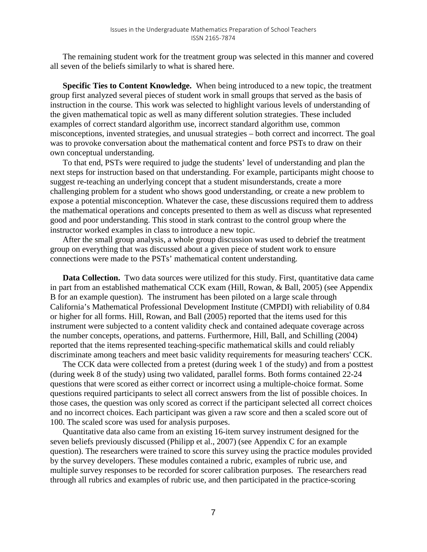The remaining student work for the treatment group was selected in this manner and covered all seven of the beliefs similarly to what is shared here.

**Specific Ties to Content Knowledge.** When being introduced to a new topic, the treatment group first analyzed several pieces of student work in small groups that served as the basis of instruction in the course. This work was selected to highlight various levels of understanding of the given mathematical topic as well as many different solution strategies. These included examples of correct standard algorithm use, incorrect standard algorithm use, common misconceptions, invented strategies, and unusual strategies – both correct and incorrect. The goal was to provoke conversation about the mathematical content and force PSTs to draw on their own conceptual understanding.

To that end, PSTs were required to judge the students' level of understanding and plan the next steps for instruction based on that understanding. For example, participants might choose to suggest re-teaching an underlying concept that a student misunderstands, create a more challenging problem for a student who shows good understanding, or create a new problem to expose a potential misconception. Whatever the case, these discussions required them to address the mathematical operations and concepts presented to them as well as discuss what represented good and poor understanding. This stood in stark contrast to the control group where the instructor worked examples in class to introduce a new topic.

After the small group analysis, a whole group discussion was used to debrief the treatment group on everything that was discussed about a given piece of student work to ensure connections were made to the PSTs' mathematical content understanding.

**Data Collection.** Two data sources were utilized for this study. First, quantitative data came in part from an established mathematical CCK exam (Hill, Rowan, & Ball, 2005) (see Appendix B for an example question). The instrument has been piloted on a large scale through California's Mathematical Professional Development Institute (CMPDI) with reliability of 0.84 or higher for all forms. Hill, Rowan, and Ball (2005) reported that the items used for this instrument were subjected to a content validity check and contained adequate coverage across the number concepts, operations, and patterns. Furthermore, Hill, Ball, and Schilling (2004) reported that the items represented teaching-specific mathematical skills and could reliably discriminate among teachers and meet basic validity requirements for measuring teachers' CCK.

The CCK data were collected from a pretest (during week 1 of the study) and from a posttest (during week 8 of the study) using two validated, parallel forms. Both forms contained 22-24 questions that were scored as either correct or incorrect using a multiple-choice format. Some questions required participants to select all correct answers from the list of possible choices. In those cases, the question was only scored as correct if the participant selected all correct choices and no incorrect choices. Each participant was given a raw score and then a scaled score out of 100. The scaled score was used for analysis purposes.

Quantitative data also came from an existing 16-item survey instrument designed for the seven beliefs previously discussed (Philipp et al., 2007) (see Appendix C for an example question). The researchers were trained to score this survey using the practice modules provided by the survey developers. These modules contained a rubric, examples of rubric use, and multiple survey responses to be recorded for scorer calibration purposes. The researchers read through all rubrics and examples of rubric use, and then participated in the practice-scoring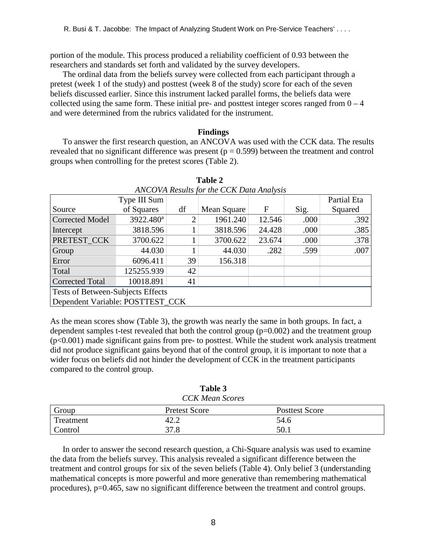portion of the module. This process produced a reliability coefficient of 0.93 between the researchers and standards set forth and validated by the survey developers.

The ordinal data from the beliefs survey were collected from each participant through a pretest (week 1 of the study) and posttest (week 8 of the study) score for each of the seven beliefs discussed earlier. Since this instrument lacked parallel forms, the beliefs data were collected using the same form. These initial pre- and posttest integer scores ranged from  $0 - 4$ and were determined from the rubrics validated for the instrument.

## **Findings**

To answer the first research question, an ANCOVA was used with the CCK data. The results revealed that no significant difference was present ( $p = 0.599$ ) between the treatment and control groups when controlling for the pretest scores (Table 2).

| <b>ANCOVA Results for the CCK Data Analysis</b> |                       |    |             |        |      |             |  |  |  |
|-------------------------------------------------|-----------------------|----|-------------|--------|------|-------------|--|--|--|
|                                                 | Type III Sum          |    |             |        |      | Partial Eta |  |  |  |
| Source                                          | of Squares            | df | Mean Square | F      | Sig. | Squared     |  |  |  |
| <b>Corrected Model</b>                          | 3922.480 <sup>a</sup> | ∍  | 1961.240    | 12.546 | .000 | .392        |  |  |  |
| Intercept                                       | 3818.596              |    | 3818.596    | 24.428 | .000 | .385        |  |  |  |
| PRETEST_CCK                                     | 3700.622              |    | 3700.622    | 23.674 | .000 | .378        |  |  |  |
| Group                                           | 44.030                |    | 44.030      | .282   | .599 | .007        |  |  |  |
| Error                                           | 6096.411              | 39 | 156.318     |        |      |             |  |  |  |
| Total                                           | 125255.939            | 42 |             |        |      |             |  |  |  |
| <b>Corrected Total</b>                          | 10018.891             | 41 |             |        |      |             |  |  |  |
| Tests of Between-Subjects Effects               |                       |    |             |        |      |             |  |  |  |
| Dependent Variable: POSTTEST_CCK                |                       |    |             |        |      |             |  |  |  |

**Table 2**

As the mean scores show (Table 3), the growth was nearly the same in both groups. In fact, a dependent samples t-test revealed that both the control group  $(p=0.002)$  and the treatment group (p<0.001) made significant gains from pre- to posttest. While the student work analysis treatment did not produce significant gains beyond that of the control group, it is important to note that a wider focus on beliefs did not hinder the development of CCK in the treatment participants compared to the control group.

| <b>CCK</b> Mean Scores |                      |                       |  |  |  |
|------------------------|----------------------|-----------------------|--|--|--|
| Group                  | <b>Pretest Score</b> | <b>Posttest Score</b> |  |  |  |
| Treatment              | 42.2                 | 54.6                  |  |  |  |
| Control                | 37.8                 | 50.1                  |  |  |  |

**Table 3**

In order to answer the second research question, a Chi-Square analysis was used to examine the data from the beliefs survey. This analysis revealed a significant difference between the treatment and control groups for six of the seven beliefs (Table 4). Only belief 3 (understanding mathematical concepts is more powerful and more generative than remembering mathematical procedures), p=0.465, saw no significant difference between the treatment and control groups.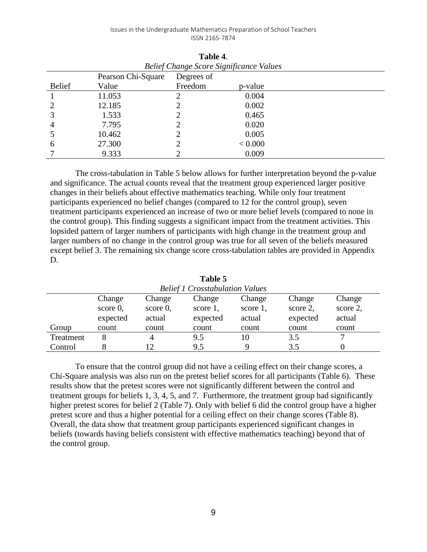| Belief Change Score Significance Values |                    |            |         |  |  |  |
|-----------------------------------------|--------------------|------------|---------|--|--|--|
|                                         | Pearson Chi-Square | Degrees of |         |  |  |  |
| <b>Belief</b>                           | Value              | Freedom    | p-value |  |  |  |
|                                         | 11.053             |            | 0.004   |  |  |  |
|                                         | 12.185             |            | 0.002   |  |  |  |
|                                         | 1.533              |            | 0.465   |  |  |  |
| 4                                       | 7.795              |            | 0.020   |  |  |  |
|                                         | 10.462             |            | 0.005   |  |  |  |
| 6                                       | 27.300             |            | < 0.000 |  |  |  |
|                                         | 9.333              |            | 0.009   |  |  |  |

**Table 4**. *Belief Change Score Significance Values*

The cross-tabulation in Table 5 below allows for further interpretation beyond the p-value and significance. The actual counts reveal that the treatment group experienced larger positive changes in their beliefs about effective mathematics teaching. While only four treatment participants experienced no belief changes (compared to 12 for the control group), seven treatment participants experienced an increase of two or more belief levels (compared to none in the control group). This finding suggests a significant impact from the treatment activities. This lopsided pattern of larger numbers of participants with high change in the treatment group and larger numbers of no change in the control group was true for all seven of the beliefs measured except belief 3. The remaining six change score cross-tabulation tables are provided in Appendix D.

| <b>Belief 1 Crosstabulation Values</b> |             |             |          |          |          |          |  |
|----------------------------------------|-------------|-------------|----------|----------|----------|----------|--|
|                                        | Change      | Change      | Change   | Change   | Change   | Change   |  |
|                                        | score $0$ , | score $0$ , | score 1, | score 1, | score 2, | score 2, |  |
|                                        | expected    | actual      | expected | actual   | expected | actual   |  |
| Group                                  | count       | count       | count    | count    | count    | count    |  |
| Treatment                              |             |             | 9.5      | 10       | 3.5      | −        |  |
| Control                                |             |             | 9.5      |          | 3.5      |          |  |

**Table 5**

To ensure that the control group did not have a ceiling effect on their change scores, a Chi-Square analysis was also run on the pretest belief scores for all participants (Table 6). These results show that the pretest scores were not significantly different between the control and treatment groups for beliefs 1, 3, 4, 5, and 7. Furthermore, the treatment group had significantly higher pretest scores for belief 2 (Table 7). Only with belief 6 did the control group have a higher pretest score and thus a higher potential for a ceiling effect on their change scores (Table 8). Overall, the data show that treatment group participants experienced significant changes in beliefs (towards having beliefs consistent with effective mathematics teaching) beyond that of the control group.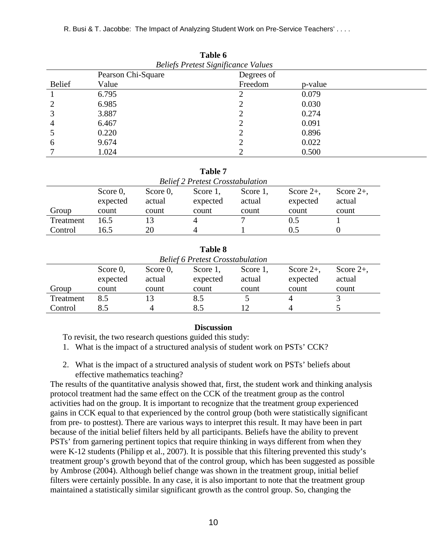R. Busi & T. Jacobbe: The Impact of Analyzing Student Work on Pre-Service Teachers' . . . .

| Table 6                                    |                    |            |         |  |  |  |  |
|--------------------------------------------|--------------------|------------|---------|--|--|--|--|
| <b>Beliefs Pretest Significance Values</b> |                    |            |         |  |  |  |  |
|                                            | Pearson Chi-Square | Degrees of |         |  |  |  |  |
| <b>Belief</b>                              | Value              | Freedom    | p-value |  |  |  |  |
|                                            | 6.795              | ി          | 0.079   |  |  |  |  |
|                                            | 6.985              |            | 0.030   |  |  |  |  |
|                                            | 3.887              |            | 0.274   |  |  |  |  |
| 4                                          | 6.467              | ∍          | 0.091   |  |  |  |  |
|                                            | 0.220              |            | 0.896   |  |  |  |  |
| b                                          | 9.674              | ⌒          | 0.022   |  |  |  |  |
|                                            | 1.024              | ി          | 0.500   |  |  |  |  |

|           |                                                                                                                                                      |       | Table 7                                 |       |       |       |  |
|-----------|------------------------------------------------------------------------------------------------------------------------------------------------------|-------|-----------------------------------------|-------|-------|-------|--|
|           |                                                                                                                                                      |       | <b>Belief 2 Pretest Crosstabulation</b> |       |       |       |  |
|           | Score $0$ ,<br>Score $2+$ ,<br>Score $0$ ,<br>Score $2+$ ,<br>Score 1,<br>Score 1,<br>expected<br>actual<br>expected<br>actual<br>actual<br>expected |       |                                         |       |       |       |  |
| Group     | count                                                                                                                                                | count | count                                   | count | count | count |  |
| Treatment | 16.5                                                                                                                                                 |       |                                         |       | 0.5   |       |  |
| Control   | 16.5                                                                                                                                                 | 20    |                                         |       |       |       |  |

| Table 8   |                                                                                                                                                      |       |                                         |       |       |       |  |
|-----------|------------------------------------------------------------------------------------------------------------------------------------------------------|-------|-----------------------------------------|-------|-------|-------|--|
|           |                                                                                                                                                      |       | <b>Belief 6 Pretest Crosstabulation</b> |       |       |       |  |
|           | Score $0$ ,<br>Score $0$ ,<br>Score $2+$ ,<br>Score $2+$ ,<br>Score 1,<br>Score 1,<br>expected<br>actual<br>expected<br>actual<br>actual<br>expected |       |                                         |       |       |       |  |
| Group     | count                                                                                                                                                | count | count                                   | count | count | count |  |
| Treatment | 8.5                                                                                                                                                  |       | 8.5                                     |       |       |       |  |
| Control   | 8.5                                                                                                                                                  |       | 8.5                                     |       |       |       |  |

#### **Discussion**

To revisit, the two research questions guided this study:

- 1. What is the impact of a structured analysis of student work on PSTs' CCK?
- 2. What is the impact of a structured analysis of student work on PSTs' beliefs about effective mathematics teaching?

The results of the quantitative analysis showed that, first, the student work and thinking analysis protocol treatment had the same effect on the CCK of the treatment group as the control activities had on the group. It is important to recognize that the treatment group experienced gains in CCK equal to that experienced by the control group (both were statistically significant from pre- to posttest). There are various ways to interpret this result. It may have been in part because of the initial belief filters held by all participants. Beliefs have the ability to prevent PSTs' from garnering pertinent topics that require thinking in ways different from when they were K-12 students (Philipp et al., 2007). It is possible that this filtering prevented this study's treatment group's growth beyond that of the control group, which has been suggested as possible by Ambrose (2004). Although belief change was shown in the treatment group, initial belief filters were certainly possible. In any case, it is also important to note that the treatment group maintained a statistically similar significant growth as the control group. So, changing the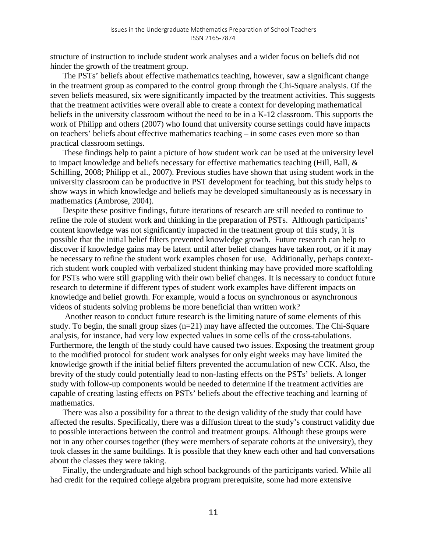structure of instruction to include student work analyses and a wider focus on beliefs did not hinder the growth of the treatment group.

The PSTs' beliefs about effective mathematics teaching, however, saw a significant change in the treatment group as compared to the control group through the Chi-Square analysis. Of the seven beliefs measured, six were significantly impacted by the treatment activities. This suggests that the treatment activities were overall able to create a context for developing mathematical beliefs in the university classroom without the need to be in a K-12 classroom. This supports the work of Philipp and others (2007) who found that university course settings could have impacts on teachers' beliefs about effective mathematics teaching – in some cases even more so than practical classroom settings.

These findings help to paint a picture of how student work can be used at the university level to impact knowledge and beliefs necessary for effective mathematics teaching (Hill, Ball, & Schilling, 2008; Philipp et al., 2007). Previous studies have shown that using student work in the university classroom can be productive in PST development for teaching, but this study helps to show ways in which knowledge and beliefs may be developed simultaneously as is necessary in mathematics (Ambrose, 2004).

Despite these positive findings, future iterations of research are still needed to continue to refine the role of student work and thinking in the preparation of PSTs. Although participants' content knowledge was not significantly impacted in the treatment group of this study, it is possible that the initial belief filters prevented knowledge growth. Future research can help to discover if knowledge gains may be latent until after belief changes have taken root, or if it may be necessary to refine the student work examples chosen for use. Additionally, perhaps contextrich student work coupled with verbalized student thinking may have provided more scaffolding for PSTs who were still grappling with their own belief changes. It is necessary to conduct future research to determine if different types of student work examples have different impacts on knowledge and belief growth. For example, would a focus on synchronous or asynchronous videos of students solving problems be more beneficial than written work?

Another reason to conduct future research is the limiting nature of some elements of this study. To begin, the small group sizes (n=21) may have affected the outcomes. The Chi-Square analysis, for instance, had very low expected values in some cells of the cross-tabulations. Furthermore, the length of the study could have caused two issues. Exposing the treatment group to the modified protocol for student work analyses for only eight weeks may have limited the knowledge growth if the initial belief filters prevented the accumulation of new CCK. Also, the brevity of the study could potentially lead to non-lasting effects on the PSTs' beliefs. A longer study with follow-up components would be needed to determine if the treatment activities are capable of creating lasting effects on PSTs' beliefs about the effective teaching and learning of mathematics.

There was also a possibility for a threat to the design validity of the study that could have affected the results. Specifically, there was a diffusion threat to the study's construct validity due to possible interactions between the control and treatment groups. Although these groups were not in any other courses together (they were members of separate cohorts at the university), they took classes in the same buildings. It is possible that they knew each other and had conversations about the classes they were taking.

Finally, the undergraduate and high school backgrounds of the participants varied. While all had credit for the required college algebra program prerequisite, some had more extensive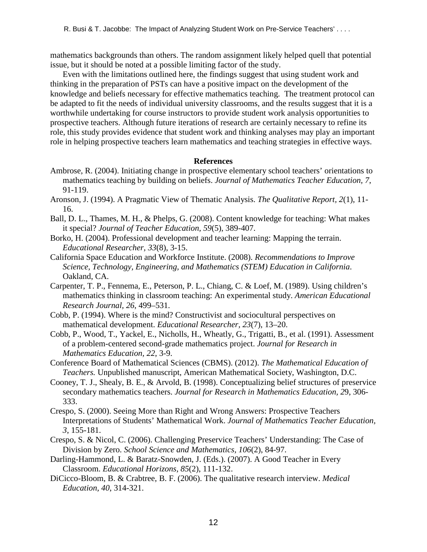mathematics backgrounds than others. The random assignment likely helped quell that potential issue, but it should be noted at a possible limiting factor of the study.

Even with the limitations outlined here, the findings suggest that using student work and thinking in the preparation of PSTs can have a positive impact on the development of the knowledge and beliefs necessary for effective mathematics teaching. The treatment protocol can be adapted to fit the needs of individual university classrooms, and the results suggest that it is a worthwhile undertaking for course instructors to provide student work analysis opportunities to prospective teachers. Although future iterations of research are certainly necessary to refine its role, this study provides evidence that student work and thinking analyses may play an important role in helping prospective teachers learn mathematics and teaching strategies in effective ways.

## **References**

- Ambrose, R. (2004). Initiating change in prospective elementary school teachers' orientations to mathematics teaching by building on beliefs. *Journal of Mathematics Teacher Education, 7*, 91-119.
- Aronson, J. (1994). A Pragmatic View of Thematic Analysis. *The Qualitative Report, 2*(1), 11- 16.
- Ball, D. L., Thames, M. H., & Phelps, G. (2008). Content knowledge for teaching: What makes it special? *Journal of Teacher Education, 59*(5), 389-407.
- Borko, H. (2004). Professional development and teacher learning: Mapping the terrain. *Educational Researcher, 33*(8), 3-15.
- California Space Education and Workforce Institute. (2008). *Recommendations to Improve Science, Technology, Engineering, and Mathematics (STEM) Education in California*. Oakland, CA.
- Carpenter, T. P., Fennema, E., Peterson, P. L., Chiang, C. & Loef, M. (1989). Using children's mathematics thinking in classroom teaching: An experimental study. *American Educational Research Journal, 26*, 499–531.
- Cobb, P. (1994). Where is the mind? Constructivist and sociocultural perspectives on mathematical development. *Educational Researcher, 23*(7), 13–20.
- Cobb, P., Wood, T., Yackel, E., Nicholls, H., Wheatly, G., Trigatti, B., et al. (1991). Assessment of a problem-centered second-grade mathematics project. *Journal for Research in Mathematics Education, 22*, 3-9.
- Conference Board of Mathematical Sciences (CBMS). (2012). *The Mathematical Education of Teachers.* Unpublished manuscript, American Mathematical Society, Washington, D.C.
- Cooney, T. J., Shealy, B. E., & Arvold, B. (1998). Conceptualizing belief structures of preservice secondary mathematics teachers. *Journal for Research in Mathematics Education, 2*9, 306- 333.
- Crespo, S. (2000). Seeing More than Right and Wrong Answers: Prospective Teachers Interpretations of Students' Mathematical Work. *Journal of Mathematics Teacher Education, 3*, 155-181.
- Crespo, S. & Nicol, C. (2006). Challenging Preservice Teachers' Understanding: The Case of Division by Zero. *School Science and Mathematics, 106*(2), 84-97.
- Darling-Hammond, L. & Baratz-Snowden, J. (Eds.). (2007). A Good Teacher in Every Classroom. *Educational Horizons, 85*(2), 111-132.
- DiCicco-Bloom, B. & Crabtree, B. F. (2006). The qualitative research interview. *Medical Education, 40*, 314-321.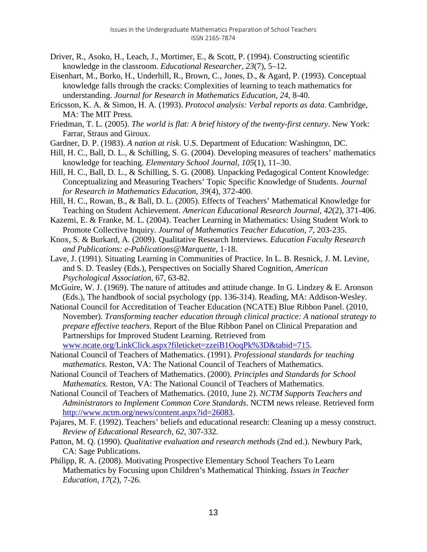- Driver, R., Asoko, H., Leach, J., Mortimer, E., & Scott, P. (1994). Constructing scientific knowledge in the classroom. *Educational Researcher, 23*(7), 5–12.
- Eisenhart, M., Borko, H., Underhill, R., Brown, C., Jones, D., & Agard, P. (1993). Conceptual knowledge falls through the cracks: Complexities of learning to teach mathematics for understanding. *Journal for Research in Mathematics Education, 24*, 8-40.
- Ericsson, K. A. & Simon, H. A. (1993). *Protocol analysis: Verbal reports as data*. Cambridge, MA: The MIT Press.
- Friedman, T. L. (2005). *The world is flat: A brief history of the twenty-first century*. New York: Farrar, Straus and Giroux.
- Gardner, D. P. (1983). *A nation at risk*. U.S. Department of Education: Washington, DC.
- Hill, H. C., Ball, D. L., & Schilling, S. G. (2004). Developing measures of teachers' mathematics knowledge for teaching. *Elementary School Journal, 105*(1), 11–30.
- Hill, H. C., Ball, D. L., & Schilling, S. G. (2008). Unpacking Pedagogical Content Knowledge: Conceptualizing and Measuring Teachers' Topic Specific Knowledge of Students. *Journal for Research in Mathematics Education, 39*(4), 372-400.
- Hill, H. C., Rowan, B., & Ball, D. L. (2005). Effects of Teachers' Mathematical Knowledge for Teaching on Student Achievement. *American Educational Research Journal, 42*(2), 371-406.
- Kazemi, E. & Franke, M. L. (2004). Teacher Learning in Mathematics: Using Student Work to Promote Collective Inquiry. *Journal of Mathematics Teacher Education, 7*, 203-235.
- Knox, S. & Burkard, A. (2009). Qualitative Research Interviews. *Education Faculty Research and Publications: e-Publications@Marquette*, 1-18.
- Lave, J. (1991). Situating Learning in Communities of Practice. In L. B. Resnick, J. M. Levine, and S. D. Teasley (Eds.), Perspectives on Socially Shared Cognition, *American Psychological Association*, 67, 63-82.
- McGuire, W. J. (1969). The nature of attitudes and attitude change. In G. Lindzey & E. Aronson (Eds.), The handbook of social psychology (pp. 136-314). Reading, MA: Addison-Wesley.
- National Council for Accreditation of Teacher Education (NCATE) Blue Ribbon Panel. (2010, November). *Transforming teacher education through clinical practice: A national strategy to prepare effective teachers.* Report of the Blue Ribbon Panel on Clinical Preparation and Partnerships for Improved Student Learning. Retrieved from [www.ncate.org/LinkClick.aspx?fileticket=zzeiB1OoqPk%3D&tabid=715.](http://www.ncate.org/LinkClick.aspx?fileticket=zzeiB1OoqPk%3D&tabid=715)
- National Council of Teachers of Mathematics. (1991). *Professional standards for teaching mathematics*. Reston, VA: The National Council of Teachers of Mathematics.
- National Council of Teachers of Mathematics. (2000). *Principles and Standards for School Mathematics*. Reston, VA: The National Council of Teachers of Mathematics.
- National Council of Teachers of Mathematics. (2010, June 2). *NCTM Supports Teachers and Administrators to Implement Common Core Standards*. NCTM news release. Retrieved form [http://www.nctm.org/news/content.aspx?id=26083.](http://www.nctm.org/news/content.aspx?id=26083)
- Pajares, M. F. (1992). Teachers' beliefs and educational research: Cleaning up a messy construct. *Review of Educational Research, 62*, 307-332.
- Patton, M. Q. (1990). *Qualitative evaluation and research methods* (2nd ed.). Newbury Park, CA: Sage Publications.
- Philipp, R. A. (2008). Motivating Prospective Elementary School Teachers To Learn Mathematics by Focusing upon Children's Mathematical Thinking. *Issues in Teacher Education, 17*(2), 7-26.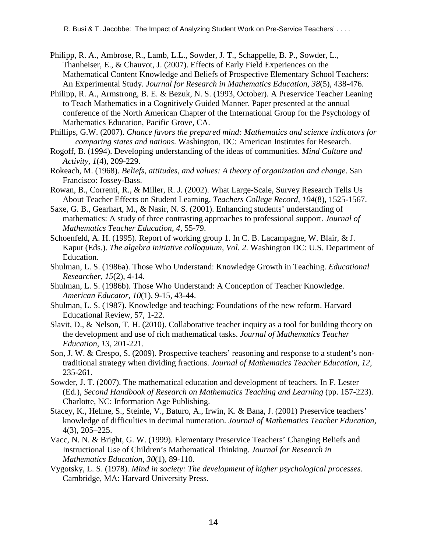- Philipp, R. A., Ambrose, R., Lamb, L.L., Sowder, J. T., Schappelle, B. P., Sowder, L., Thanheiser, E., & Chauvot, J. (2007). Effects of Early Field Experiences on the Mathematical Content Knowledge and Beliefs of Prospective Elementary School Teachers: An Experimental Study. *Journal for Research in Mathematics Education, 38*(5), 438-476.
- Philipp, R. A., Armstrong, B. E. & Bezuk, N. S. (1993, October). A Preservice Teacher Leaning to Teach Mathematics in a Cognitively Guided Manner. Paper presented at the annual conference of the North American Chapter of the International Group for the Psychology of Mathematics Education, Pacific Grove, CA.
- Phillips, G.W. (2007). *Chance favors the prepared mind: Mathematics and science indicators for comparing states and nations*. Washington, DC: American Institutes for Research.
- Rogoff, B. (1994). Developing understanding of the ideas of communities. *Mind Culture and Activity, 1*(4), 209-229.
- Rokeach, M. (1968). *Beliefs, attitudes, and values: A theory of organization and change*. San Francisco: Jossey-Bass.
- Rowan, B., Correnti, R., & Miller, R. J. (2002). What Large-Scale, Survey Research Tells Us About Teacher Effects on Student Learning. *Teachers College Record, 104*(8), 1525-1567.
- Saxe, G. B., Gearhart, M., & Nasir, N. S. (2001). Enhancing students' understanding of mathematics: A study of three contrasting approaches to professional support. *Journal of Mathematics Teacher Education, 4*, 55-79.
- Schoenfeld, A. H. (1995). Report of working group 1. In C. B. Lacampagne, W. Blair, & J. Kaput (Eds.). *The algebra initiative colloquium, Vol. 2*. Washington DC: U.S. Department of Education.
- Shulman, L. S. (1986a). Those Who Understand: Knowledge Growth in Teaching. *Educational Researcher, 15*(2), 4-14.
- Shulman, L. S. (1986b). Those Who Understand: A Conception of Teacher Knowledge. *American Educator, 10*(1), 9-15, 43-44.
- Shulman, L. S. (1987). Knowledge and teaching: Foundations of the new reform. Harvard Educational Review, 57, 1-22.
- Slavit, D., & Nelson, T. H. (2010). Collaborative teacher inquiry as a tool for building theory on the development and use of rich mathematical tasks. *Journal of Mathematics Teacher Education, 13*, 201-221.
- Son, J. W. & Crespo, S. (2009). Prospective teachers' reasoning and response to a student's nontraditional strategy when dividing fractions. *Journal of Mathematics Teacher Education, 12*, 235-261.
- Sowder, J. T. (2007). The mathematical education and development of teachers. In F. Lester (Ed.), *Second Handbook of Research on Mathematics Teaching and Learning* (pp. 157-223). Charlotte, NC: Information Age Publishing.
- Stacey, K., Helme, S., Steinle, V., Baturo, A., Irwin, K. & Bana, J. (2001) Preservice teachers' knowledge of difficulties in decimal numeration. *Journal of Mathematics Teacher Education,*  4(3), 205–225.
- Vacc, N. N. & Bright, G. W. (1999). Elementary Preservice Teachers' Changing Beliefs and Instructional Use of Children's Mathematical Thinking. *Journal for Research in Mathematics Education, 30*(1), 89-110.
- Vygotsky, L. S. (1978). *Mind in society: The development of higher psychological processes.* Cambridge, MA: Harvard University Press.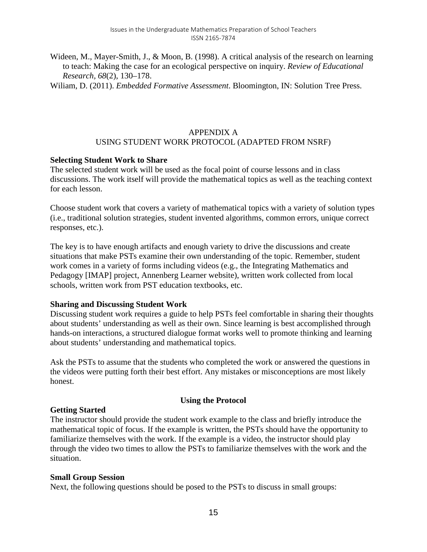Wideen, M., Mayer-Smith, J., & Moon, B. (1998). A critical analysis of the research on learning to teach: Making the case for an ecological perspective on inquiry. *Review of Educational Research, 68*(2), 130–178.

Wiliam, D. (2011). *Embedded Formative Assessment*. Bloomington, IN: Solution Tree Press.

# APPENDIX A USING STUDENT WORK PROTOCOL (ADAPTED FROM NSRF)

## **Selecting Student Work to Share**

The selected student work will be used as the focal point of course lessons and in class discussions. The work itself will provide the mathematical topics as well as the teaching context for each lesson.

Choose student work that covers a variety of mathematical topics with a variety of solution types (i.e., traditional solution strategies, student invented algorithms, common errors, unique correct responses, etc.).

The key is to have enough artifacts and enough variety to drive the discussions and create situations that make PSTs examine their own understanding of the topic. Remember, student work comes in a variety of forms including videos (e.g., the Integrating Mathematics and Pedagogy [IMAP] project, Annenberg Learner website), written work collected from local schools, written work from PST education textbooks, etc.

## **Sharing and Discussing Student Work**

Discussing student work requires a guide to help PSTs feel comfortable in sharing their thoughts about students' understanding as well as their own. Since learning is best accomplished through hands-on interactions, a structured dialogue format works well to promote thinking and learning about students' understanding and mathematical topics.

Ask the PSTs to assume that the students who completed the work or answered the questions in the videos were putting forth their best effort. Any mistakes or misconceptions are most likely honest.

## **Using the Protocol**

## **Getting Started**

The instructor should provide the student work example to the class and briefly introduce the mathematical topic of focus. If the example is written, the PSTs should have the opportunity to familiarize themselves with the work. If the example is a video, the instructor should play through the video two times to allow the PSTs to familiarize themselves with the work and the situation.

## **Small Group Session**

Next, the following questions should be posed to the PSTs to discuss in small groups: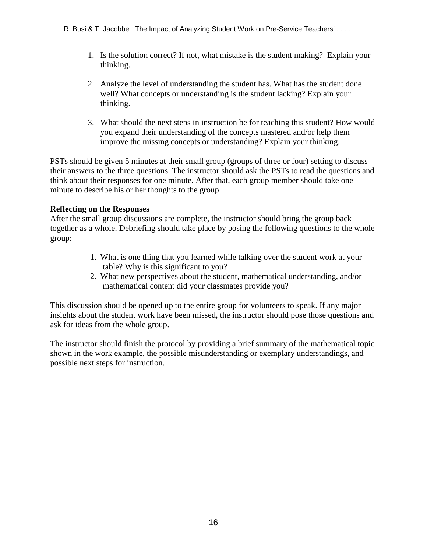- 1. Is the solution correct? If not, what mistake is the student making? Explain your thinking.
- 2. Analyze the level of understanding the student has. What has the student done well? What concepts or understanding is the student lacking? Explain your thinking.
- 3. What should the next steps in instruction be for teaching this student? How would you expand their understanding of the concepts mastered and/or help them improve the missing concepts or understanding? Explain your thinking.

PSTs should be given 5 minutes at their small group (groups of three or four) setting to discuss their answers to the three questions. The instructor should ask the PSTs to read the questions and think about their responses for one minute. After that, each group member should take one minute to describe his or her thoughts to the group.

## **Reflecting on the Responses**

After the small group discussions are complete, the instructor should bring the group back together as a whole. Debriefing should take place by posing the following questions to the whole group:

- 1. What is one thing that you learned while talking over the student work at your table? Why is this significant to you?
- 2. What new perspectives about the student, mathematical understanding, and/or mathematical content did your classmates provide you?

This discussion should be opened up to the entire group for volunteers to speak. If any major insights about the student work have been missed, the instructor should pose those questions and ask for ideas from the whole group.

The instructor should finish the protocol by providing a brief summary of the mathematical topic shown in the work example, the possible misunderstanding or exemplary understandings, and possible next steps for instruction.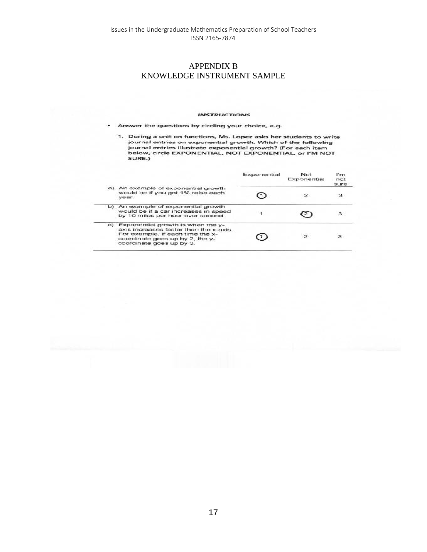## APPENDIX B KNOWLEDGE INSTRUMENT SAMPLE

#### **INSTRUCTIONS**

Answer the questions by circling your choice, e.g. ٠

1. During a unit on functions, Ms. Lopez asks her students to write<br>journal entries on exponential growth. Which of the following<br>journal entries illustrate exponential growth? (For each item<br>below, circle EXPONENTIAL, NOT SURE.)

|    |                                                                                                                                                                                | Exponential | Not<br>Exponential | l'm<br>not<br>sure |
|----|--------------------------------------------------------------------------------------------------------------------------------------------------------------------------------|-------------|--------------------|--------------------|
|    | a) An example of exponential growth<br>would be if you got 1% raise each<br>vear.                                                                                              |             |                    | з                  |
|    | b) An example of exponential growth<br>would be if a car increases in speed<br>by 10 miles per hour ever second.                                                               |             |                    |                    |
| C) | Exponential growth is when the y-<br>axis increases faster than the x-axis.<br>For example, if each time the x-<br>coordinate goes up by 2, the y-<br>coordinate goes up by 3. |             | $\mathbf{z}$       |                    |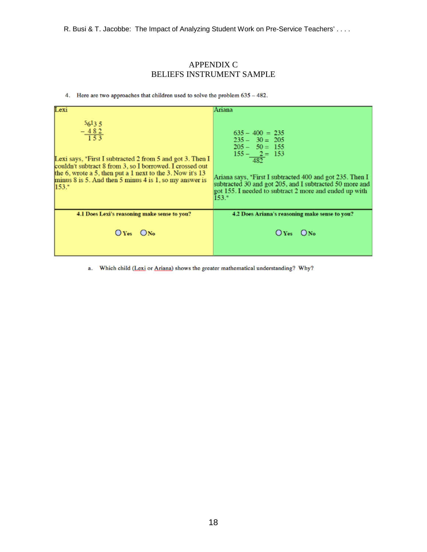R. Busi & T. Jacobbe: The Impact of Analyzing Student Work on Pre-Service Teachers' . . . .

## APPENDIX C BELIEFS INSTRUMENT SAMPLE

4. Here are two approaches that children used to solve the problem 635 - 482.

| Lexi                                                                                                                                                                                                                                                                                                | Ariana                                                                                                                                                                                                                                                                        |
|-----------------------------------------------------------------------------------------------------------------------------------------------------------------------------------------------------------------------------------------------------------------------------------------------------|-------------------------------------------------------------------------------------------------------------------------------------------------------------------------------------------------------------------------------------------------------------------------------|
| 56135<br>$-\frac{482}{153}$<br>Lexi says, "First I subtracted 2 from 5 and got 3. Then I<br>couldn't subtract 8 from 3, so I borrowed. I crossed out<br>the 6, wrote a 5, then put a 1 next to the 3. Now it's 13<br>minus $8$ is $5$ . And then $5$ minus $4$ is $1$ , so my answer is<br>$153.$ " | $635 - 400 = 235$<br>$235 - 30 = 205$<br>$205 - 50 = 155$<br>$155 - 2 = 153$<br>482<br>Ariana says, "First I subtracted 400 and got 235. Then I<br>subtracted 30 and got 205, and I subtracted 50 more and<br>got 155. I needed to subtract 2 more and ended up with<br>153." |
| 4.1 Does Lexi's reasoning make sense to you?                                                                                                                                                                                                                                                        | 4.2 Does Ariana's reasoning make sense to you?                                                                                                                                                                                                                                |
| $O$ Yes $O$ No                                                                                                                                                                                                                                                                                      | $O$ Yes $O$ No                                                                                                                                                                                                                                                                |

a. Which child (Lexi or Ariana) shows the greater mathematical understanding? Why?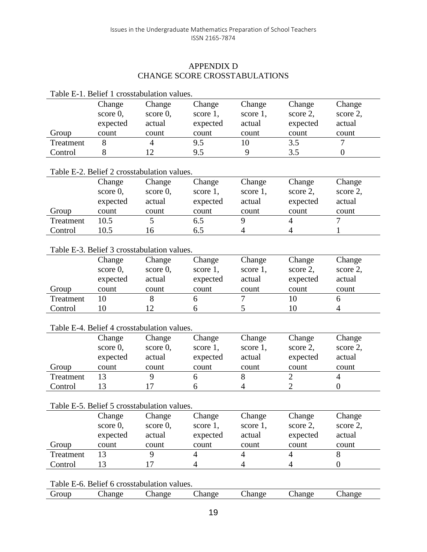# APPENDIX D CHANGE SCORE CROSSTABULATIONS

| Table E-1. Belief 1 crosstabulation values. |             |                                                       |                |                    |                |                         |  |
|---------------------------------------------|-------------|-------------------------------------------------------|----------------|--------------------|----------------|-------------------------|--|
|                                             | Change      | Change                                                | Change         | Change             | Change         | Change                  |  |
|                                             | score $0$ , | score $0$ ,                                           | score 1,       | score 1,           | score 2,       | score 2,                |  |
|                                             | expected    | actual                                                | expected       | actual             | expected       | actual                  |  |
| Group                                       | count       | count                                                 | count          | count              | count          | count                   |  |
| Treatment                                   | 8           | $\overline{4}$                                        | 9.5            | 10                 | 3.5            | 7                       |  |
| Control                                     | 8           | 12                                                    | 9.5            | 9                  | 3.5            | $\overline{0}$          |  |
|                                             |             |                                                       |                |                    |                |                         |  |
|                                             |             | Table E-2. Belief 2 crosstabulation values.           |                |                    |                |                         |  |
|                                             | Change      | Change                                                | Change         | Change             | Change         | Change                  |  |
|                                             | score $0$ , | score $0$ ,                                           | score 1,       | score 1,           | score 2,       | score 2,                |  |
|                                             | expected    | actual                                                | expected       | actual             | expected       | actual                  |  |
| Group                                       | count       | count                                                 | count          | count              | count          | count                   |  |
| Treatment                                   | 10.5        | 5                                                     | 6.5            | 9                  | $\overline{4}$ | $\overline{7}$          |  |
| Control                                     | 10.5        | 16                                                    | 6.5            | $\overline{4}$     | $\overline{4}$ | 1                       |  |
|                                             |             | Table E-3. Belief 3 crosstabulation values.           |                |                    |                |                         |  |
|                                             |             |                                                       |                |                    |                |                         |  |
|                                             | Change      | Change                                                | Change         | Change             | Change         | Change                  |  |
|                                             | score 0,    | score 0.                                              | score 1,       | score 1,           | score 2,       | score 2,                |  |
|                                             | expected    | actual                                                | expected       | actual             | expected       | actual                  |  |
| Group                                       | count       | count                                                 | count          | count              | count          | count                   |  |
|                                             |             |                                                       |                |                    |                |                         |  |
| Treatment                                   | 10          | 8                                                     | 6              | 7                  | 10             | 6                       |  |
| Control                                     | 10          | 12                                                    | 6              | 5                  | 10             | $\overline{4}$          |  |
|                                             |             | Table E-4. Belief 4 crosstabulation values.           |                |                    |                |                         |  |
|                                             | Change      | Change                                                |                | Change             |                | Change                  |  |
|                                             |             |                                                       | Change         |                    | Change         |                         |  |
|                                             | score $0$ , | score $0$ ,<br>actual                                 | score 1,       | score 1,<br>actual | score 2,       | score 2,<br>actual      |  |
|                                             | expected    | count                                                 | expected       |                    | expected       |                         |  |
| Group                                       | count       | 9                                                     | count          | count              | count          | count<br>$\overline{4}$ |  |
| Treatment                                   | 13          |                                                       | 6              | 8                  | $\overline{2}$ |                         |  |
| Control                                     | 13          | 17                                                    | 6              | 4                  | $\overline{2}$ | $\overline{0}$          |  |
|                                             |             | Table E-5. Belief 5 crosstabulation values.           |                |                    |                |                         |  |
|                                             | Change      | Change                                                | Change         | Change             | Change         | Change                  |  |
|                                             | score 0,    | $score\ 0$ ,                                          | score 1,       | score 1,           | score 2,       | score 2,                |  |
|                                             | expected    | actual                                                | expected       | actual             | expected       | actual                  |  |
| Group                                       | count       | count                                                 | count          | count              | count          | count                   |  |
| Treatment                                   | 13          | 9                                                     | $\overline{4}$ | $\overline{4}$     | $\overline{4}$ | 8                       |  |
| Control                                     | 13          | 17                                                    | 4              | $\overline{4}$     | $\overline{4}$ | $\boldsymbol{0}$        |  |
|                                             |             |                                                       |                |                    |                |                         |  |
| Group                                       | Change      | Table E-6. Belief 6 crosstabulation values.<br>Change | Change         | Change             | Change         | Change                  |  |